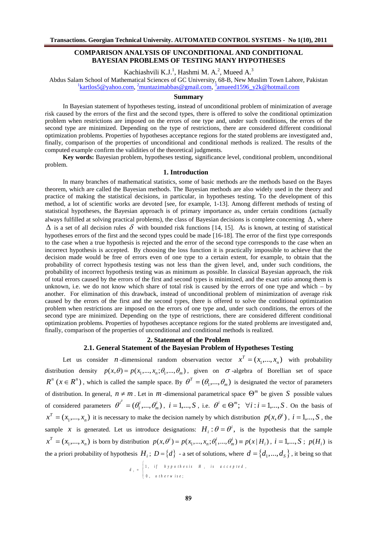# COMPARISON ANALYSIS OF UNCONDITIONAL AND CONDITIONAL BAYESIAN PROBLEMS OF TESTING MANY HYPOTHESES

Kachiashvili K.J<sup>1</sup>, Hashmi M. A<sup>2</sup>, Mueed A<sup>3</sup>

Abdus Salam School of Mathematical Sciences of GC Usitye 68B, New Muslim Town Lahore, Pakistan 1[kartlos5@yahoo.co](mailto:1kartlos5@yahoo.com)m[muntazimabbas@gmail.co](mailto:2muntazimabbas@gmail.com)mmueed1596\_y2k@hotmail.com

## Summary

In Bayesian statement of hypothesesings instead of unconditional problem of minimization of average risk caused by the errors of the first and the second types, there is offered to solve the conditional optimization problem when restrictions are imposed on the errors of one type and, sure deconditions, the errors of the second type are minimized. Depending on the type of restrictions, there are considered different conditional optimization problems. Properties of hypotheses acceptance regions for the stated problems are investigated and , finally, comparison of the properties of unconditional and conditional methods is realized. The results of the computed example confirm the validities of the theoretical judgments.

Key words: Bayesian problem, hypotheses testing, significance leved itemal problem, uncontitional problem.

## 1. Introduction

In many branches of mathematical statistics, some of basic methods are the methods based on the Bayes theorem, which are called the Bayesian methods. The Bayesian methods are also widely usted in theory practice of making the statistical decisions, in particular, in hypotheses testing. To the development of this method, a lot of scientific works are devoted [see, for example]. Among different methods of testing of statistical hypotheseshe Bayesian approach is of primary importance as, under certain conditions (actually always fulfilled at solving practical problems), the class of Bayesian decisions is complete conoterning or  $\delta$ l is a set 6 all decision rules $\delta$  with bounded risk functions [4, 15]. As is known, at testing of statistical hypotheses errors of the first and the second types could be material. The error of the first type corresponds to the case when taue hypothesis is rejected and the error of the second type corresponds to the case when an incorrect hypothesis is acceptedly choosing the loss function it is practically impossible to achieve that the decision made would be free of errors even of type to a certain extent, for example, to obtain that the probability of correct hypothesis testing was not less than the given level, and, under such conditions, the probability of incorrect hypothesis testing was as minimum as possible. In classical Baapproach, the risk of total errors caused by the errors of the first and second types is minimized, and the exact ratio among them is unknown, i.e. we do not know which share of total risk is caused by the errors of one type and which another. For elimination of this drawback, instead of unconditional problem of minimization of average risk caused by the errors of the first and the second types, there is offered to solve the conditional optimization problem when restrictions are imposed on the rs of one type and, under such conditions, the errors of the second type are minimized. Depending on the type of restrictions, there are considered different conditional optimization problems? roperties of hypotheses acceptance regions for the prate dems are investigated and, finally, comparison of the properties of unconditional and conditional methodalized.

# 2.Statement of the Problem

# 2.1. General Statement of the Bayesian Problem of Hypotheses Testing

Let us consider n-dimensional random observation vectox  $\check{\theta} = (\check{\theta}, \check{\theta}, ..., \check{\theta})$  $\boldsymbol{\mathsf{x}}^{\mathsf{T}}$   $\boldsymbol{\mathsf{\check{O}}}\boldsymbol{\mathsf{+}}\mathsf{X}_1, ..., \mathsf{X}_n)$  with probability distribution density  $p(x, \partial y\partial = p(x, ..., x); \partial q, ..., d$ , given on  $\partial z$ -algebra of Borellian set of space  $R^n$   $(x$ ð $\hat{\theta}R^n)$  , which is called the sample space. Ø $\bar{p}$  ð $\neq$ ð $\bar{q}$ ...,ð $\bar{q}$ **ฮ** $\bar{b}q$  ð $\neq$ ð $q$ ...,ð $q$ ) is designated the vector of parameters of distribution. In general $\rho$  ð $^1$ m. Let in m-dimensional parametrical spa $\check{\bf c}$ ex be given $\bf S$  possible values of considered parameterð $\phi$  ð $\!phi$ i m r**ð**g ð=(ðg…,*ð*g), i ð=1,...,S, i.e. *ðo*jðÎðQ; ð'l :i ð=1,...,S. On the basis of  $(x_1,...,x_n)$  $x^{\!\top}$  ð $\neq$ x,…, $x$ ,) it is necessary to make the decision namely by which di**stri**bup $(x, \partial Q)$ , i ð $\triangleq$ ,…,S, the sample X is generated Let us introduce designation $\pm 1$ , :  $\check{\sigma} \check{\phi}$  = $\check{\phi}$  is the hypothesis that the sample  $(x_1,...,x_n)$  $\mathsf{x}^\top$  ð $\neq$ x $_1,...,\mathsf{x}_\mathsf{n}$ ) is born by distributionp $(\mathsf{x},\partial\theta)$  ð=<code>p $(\mathsf{x},...,\mathsf{x}$ </code> ;  $\dot\beta\mathsf{q}$ ... $\frac{1}{\mathsf{n}}\check g$ qð<code>p $(\mathsf{x}|\mathsf{H}|$ </code> ), <code>i ð= $\mathsf{q},...,\mathsf{S}$ </code> ; <code>p(H<sub>i</sub>)</code> is the a priori probability of hypothesi**l**sl, ; D ð $\hat\theta$ ¢Ø $]$ - a set of solutions, wher**d** ð $\hat\theta$  $\hat\theta$ 4,,…, $d_{\rm s}$ Ø, it being so that

$$
d_i
$$
,  $\frac{q_i}{dt}$ , if hypothesis  $H_i$  is accepted,  
 $\frac{q_i}{dt}$ ,  $\frac{q_i}{dt}$ , otherwise;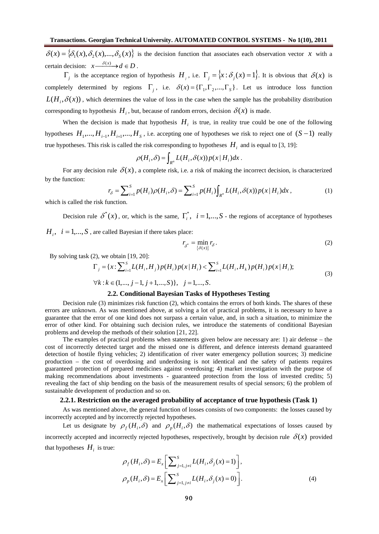$\delta(x) = \{\delta_1(x), \delta_2(x),..., \delta_s(x)\}\$ is the decision function that associates each observation vector *x* with a certain decision:  $x \xrightarrow{\delta(x)} d \in D$ .

 $\Gamma_j$  is the acceptance region of hypothesis  $H_j$ , i.e.  $\Gamma_j = \{x : \delta_j(x) = 1\}$ . It is obvious that  $\delta(x)$  is completely determined by regions  $\Gamma_j$ , i.e.  $\delta(x) = {\Gamma_1, \Gamma_2, ..., \Gamma_S}$ . Let us introduce loss function  $L(H_i, \delta(x))$ , which determines the value of loss in the case when the sample has the probability distribution corresponding to hypothesis  $H_i$ , but, because of random errors, decision  $\delta(x)$  is made.

When the decision is made that hypothesis  $H_i$  is true, in reality true could be one of the following hypotheses  $H_1, ..., H_{i-1}, H_{i+1}, ..., H_S$ , i.e. accepting one of hypotheses we risk to reject one of  $(S-1)$  really true hypotheses. This risk is called the risk corresponding to hypotheses  $H_i$  and is equal to [3, 19]:

$$
\rho(H_i, \delta) = \int_{R^n} L(H_i, \delta(x)) p(x | H_i) dx.
$$

For any decision rule  $\delta(x)$ , a complete risk, i.e. a risk of making the incorrect decision, is characterized by the function:

$$
r_{\delta} = \sum_{i=1}^{S} p(H_i)\rho(H_i, \delta) = \sum_{i=1}^{S} p(H_i) \int_{R^n} L(H_i, \delta(x)) p(x | H_i) dx,
$$
\n(1)

which is called the risk function.

Decision rule  $\delta^*(x)$ , or, which is the same,  $\Gamma_i^*$ ,  $i = 1,..., S$  - the regions of acceptance of hypotheses  $H_i$ ,  $i = 1,..., S$ , are called Bayesian if there takes place:

 $r_{\delta^*} = \min_{\{\delta(x)\}} r_{\delta}.$  (2)

By solving task (2), we obtain [19, 20]:

$$
\Gamma_j = \{x : \sum_{i=1}^S L(H_i, H_j) p(H_i) p(x | H_i) < \sum_{i=1}^S L(H_i, H_k) p(H_i) p(x | H_i);
$$
\n
$$
\forall k : k \in (1, \dots, j-1, j+1, \dots, S), \quad j = 1, \dots, S. \tag{3}
$$

## **2.2. Conditional Bayesian Tasks of Hypotheses Testing**

Decision rule (3) minimizes risk function (2), which contains the errors of both kinds. The shares of these errors are unknown. As was mentioned above, at solving a lot of practical problems, it is necessary to have a guarantee that the error of one kind does not surpass a certain value, and, in such a situation, to minimize the error of other kind. For obtaining such decision rules, we introduce the statements of conditional Bayesian problems and develop the methods of their solution [21, 22].

The examples of practical problems when statements given below are necessary are: 1) air defense – the cost of incorrectly detected target and the missed one is different, and defence interests demand guaranteed detection of hostile flying vehicles; 2) identification of river water emergency pollution sources; 3) medicine production – the cost of overdosing and underdosing is not identical and the safety of patients requires guaranteed protection of prepared medicines against overdosing; 4) market investigation with the purpose of making recommendations about investments - guaranteed protection from the loss of invested credits; 5) revealing the fact of ship bending on the basis of the measurement results of special sensors; 6) the problem of sustainable development of production and so on.

#### **2.2.1. Restriction on the averaged probability of acceptance of true hypothesis (Task 1)**

As was mentioned above, the general function of losses consists of two components: the losses caused by incorrectly accepted and by incorrectly rejected hypotheses.

Let us designate by  $\rho_f(H_i, \delta)$  and  $\rho_p(H_i, \delta)$  the mathematical expectations of losses caused by incorrectly accepted and incorrectly rejected hypotheses, respectively, brought by decision rule  $\delta(x)$  provided that hypotheses  $H_i$  is true:

$$
\rho_f(H_i, \delta) = E_x \left[ \sum_{j=1, j \neq i}^{S} L(H_i, \delta_j(x) = 1) \right],
$$
  

$$
\rho_p(H_i, \delta) = E_x \left[ \sum_{j=1, j \neq i}^{S} L(H_i, \delta_j(x) = 0) \right].
$$
 (4)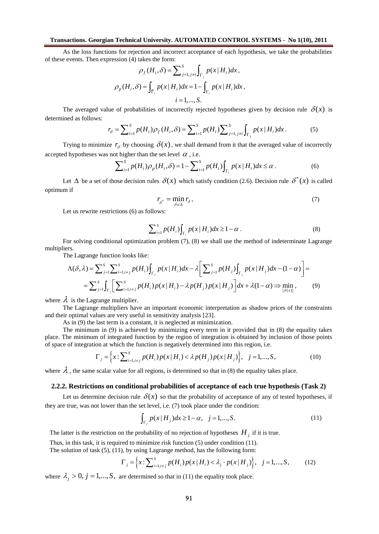As the loss functions for rejection and incorrect acceptance of each hypothesis, we take the probabilities of these events. Then expression (4) takes the form:

$$
\rho_f(H_i, \delta) = \sum_{j=1, j \neq i}^{S} \int_{\Gamma_j} p(x | H_i) dx,
$$

$$
\rho_p(H_i, \delta) = \int_{\overline{\Gamma}_i} p(x | H_i) dx = 1 - \int_{\Gamma_i} p(x | H_i) dx,
$$

$$
i = 1, ..., S.
$$

The averaged value of probabilities of incorrectly rejected hypotheses given by decision rule  $\delta(x)$  is determined as follows:

$$
r_{\delta} = \sum_{i=1}^{S} p(H_i) \rho_f(H_i, \delta) = \sum_{i=1}^{S} p(H_i) \sum_{j=1, j \neq i}^{S} \int_{\Gamma_j} p(x | H_i) dx.
$$
 (5)

Trying to minimize  $r<sub>δ</sub>$  by choosing  $\delta(x)$ , we shall demand from it that the averaged value of incorrectly accepted hypotheses was not higher than the set level  $\alpha$ , i.e.

$$
\sum_{i=1}^{S} p(H_i)\rho_p(H_i, \delta) = 1 - \sum_{i=1}^{S} p(H_i) \int_{\Gamma_i} p(x | H_i) dx \le \alpha.
$$
 (6)

Let  $\Delta$  be a set of those decision rules  $\delta(x)$  which satisfy condition (2.6). Decision rule  $\delta^*(x)$  is called optimum if

$$
r_{\delta^*} = \min_{\delta \in \Delta} r_{\delta},\tag{7}
$$

Let us rewrite restrictions (6) as follows:

$$
\sum_{i=1}^{S} p(H_i) \int_{\Gamma_i} p(x | H_i) dx \ge 1 - \alpha \tag{8}
$$

For solving conditional optimization problem (7), (8) we shall use the method of indeterminate Lagrange multipliers.

The Lagrange function looks like:

$$
\Lambda(\delta,\lambda) = \sum_{j=1}^{S} \sum_{i=1, i \neq j}^{S} p(H_i) \int_{\Gamma_j} p(x | H_i) dx - \lambda \left[ \sum_{j=1}^{S} p(H_j) \int_{\Gamma_j} p(x | H_j) dx - (1 - \alpha) \right] =
$$
  

$$
= \sum_{j=1}^{S} \int_{\Gamma_j} \left[ \sum_{i=1, i \neq j}^{S} p(H_i) p(x | H_i) - \lambda p(H_j) p(x | H_j) \right] dx + \lambda (1 - \alpha) \Rightarrow \min_{\{\delta(x)\}} ,
$$
 (9)

where  $\lambda$  is the Lagrange multiplier.

The Lagrange multipliers have an important economic interpretation as shadow prices of the constraints and their optimal values are very useful in sensitivity analysis [23].

As in (9) the last term is a constant, it is neglected at minimization.

The minimum in (9) is achieved by minimizing every term in it provided that in (8) the equality takes place. The minimum of integrated function by the region of integration is obtained by inclusion of those points of space of integration at which the function is negatively determined into this region, i.e.

$$
\Gamma_j = \left\{ x \colon \sum_{i=1, i \neq j}^{S} p(H_i) p(x | H_i) < \lambda p(H_j) p(x | H_j) \right\}, \quad j = 1, \dots, S,\tag{10}
$$

where  $\lambda$ , the same scalar value for all regions, is determined so that in (8) the equality takes place.

#### **2.2.2. Restrictions on conditional probabilities of acceptance of each true hypothesis (Task 2)**

Let us determine decision rule  $\delta(x)$  so that the probability of acceptance of any of tested hypotheses, if they are true, was not lower than the set level, i.e. (7) took place under the condition:

$$
\int_{\Gamma_j} p(x | H_j) dx \ge 1 - \alpha, \quad j = 1, ..., S. \tag{11}
$$

The latter is the restriction on the probability of no rejection of hypotheses  $H_j$  if it is true.

Thus, in this task, it is required to minimize risk function (5) under condition (11).

The solution of task (5), (11), by using Lagrange method, has the following form:

$$
\Gamma_j = \left\{ x \colon \sum_{i=1, i \neq j}^{S} p(H_i) p(x | H_i) < \lambda_j \cdot p(x | H_j) \right\}, \quad j = 1, \dots, S, \tag{12}
$$

where  $\lambda_i > 0$ ,  $j = 1,..., S$ , are determined so that in (11) the equality took place.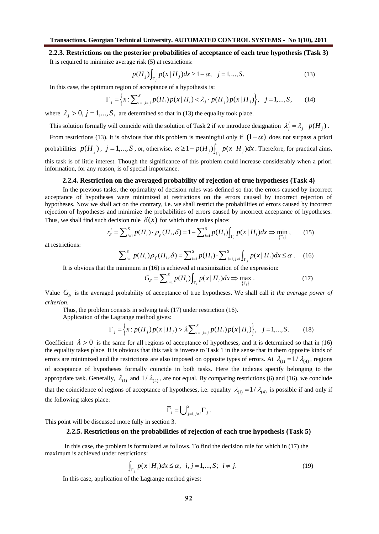**2.2.3. Restrictions on the posterior probabilities of acceptance of each true hypothesis (Task 3)** It is required to minimize average risk (5) at restrictions:

$$
p(H_j) \int_{\Gamma_j} p(x | H_j) dx \ge 1 - \alpha, \quad j = 1, ..., S. \tag{13}
$$

In this case, the optimum region of acceptance of a hypothesis is:

$$
\Gamma_j = \left\{ x \colon \sum_{i=1, i \neq j}^{S} p(H_i) p(x | H_i) < \lambda_j \cdot p(H_j) p(x | H_j) \right\}, \quad j = 1, \dots, S, \tag{14}
$$

where  $\lambda_i > 0$ ,  $j = 1,..., S$ , are determined so that in (13) the equality took place.

This solution formally will coincide with the solution of Task 2 if we introduce designation  $\lambda'_j = \lambda_j \cdot p(H_j)$ .

From restrictions (13), it is obvious that this problem is meaningful only if  $(1-\alpha)$  does not surpass a priori probabilities  $p(H_j)$ ,  $j = 1,...,S$ , or, otherwise,  $\alpha \ge 1 - p(H_j) \int_{\Gamma_j} p(x | H_j) dx$ . Therefore, for practical aims, this task is of little interest. Though the significance of this problem could increase considerably when a priori information, for any reason, is of special importance.

# **2.2.4. Restriction on the averaged probability of rejection of true hypotheses (Task 4)**

In the previous tasks, the optimality of decision rules was defined so that the errors caused by incorrect acceptance of hypotheses were minimized at restrictions on the errors caused by incorrect rejection of hypotheses. Now we shall act on the contrary, i.e. we shall restrict the probabilities of errors caused by incorrect rejection of hypotheses and minimize the probabilities of errors caused by incorrect acceptance of hypotheses. Thus, we shall find such decision rule  $\delta(x)$  for which there takes place:

$$
r'_{\delta} = \sum_{i=1}^{S} p(H_i) \cdot \rho_p(H_i, \delta) = 1 - \sum_{i=1}^{S} p(H_i) \int_{\Gamma_i} p(x | H_i) dx \Rightarrow \min_{\{\Gamma_i\}},
$$
 (15)

at restrictions:

$$
\sum_{i=1}^{S} p(H_i) \rho_f(H_i, \delta) = \sum_{i=1}^{S} p(H_i) \cdot \sum_{j=1, j \neq i}^{S} \int_{\Gamma_j} p(x | H_i) dx \le \alpha \,. \tag{16}
$$

It is obvious that the minimum in (16) is achieved at maximization of the expression:

$$
G_{\delta} = \sum_{i=1}^{S} p(H_i) \int_{\Gamma_i} p(x | H_i) dx \Rightarrow \max_{\{\Gamma_i\}} . \tag{17}
$$

Value  $G_{\delta}$  is the averaged probability of acceptance of true hypotheses. We shall call it *the average power of criterion*.

Thus, the problem consists in solving task (17) under restriction (16).

Application of the Lagrange method gives:

$$
\Gamma_j = \left\{ x : p(H_j) p(x | H_j) > \lambda \sum_{i=1, i \neq j}^{s} p(H_i) p(x | H_i) \right\}, \quad j = 1, ..., S. \tag{18}
$$

Coefficient  $\lambda > 0$  is the same for all regions of acceptance of hypotheses, and it is determined so that in (16) the equality takes place. It is obvious that this task is inverse to Task 1 in the sense that in them opposite kinds of errors are minimized and the restrictions are also imposed on opposite types of errors. At  $\lambda_{(1)} = 1/\lambda_{(4)}$ , regions of acceptance of hypotheses formally coincide in both tasks. Here the indexes specify belonging to the appropriate task. Generally,  $\lambda_{(1)}$  and  $1/\lambda_{(4)}$ , are not equal. By comparing restrictions (6) and (16), we conclude that the coincidence of regions of acceptance of hypotheses, i.e. equality  $\lambda_{(1)} = 1/\lambda_{(4)}$  is possible if and only if the following takes place:

$$
\overline{\Gamma}_i = \bigcup_{j=1, j \neq i}^S \Gamma_j.
$$

This point will be discussed more fully in section 3.

#### **2.2.5. Restrictions on the probabilities of rejection of each true hypothesis (Task 5)**

In this case, the problem is formulated as follows. To find the decision rule for which in (17) the maximum is achieved under restrictions:

$$
\int_{\Gamma_j} p(x | H_i) dx \le \alpha, \ \ i, j = 1, ..., S; \ \ i \ne j. \tag{19}
$$

In this case, application of the Lagrange method gives: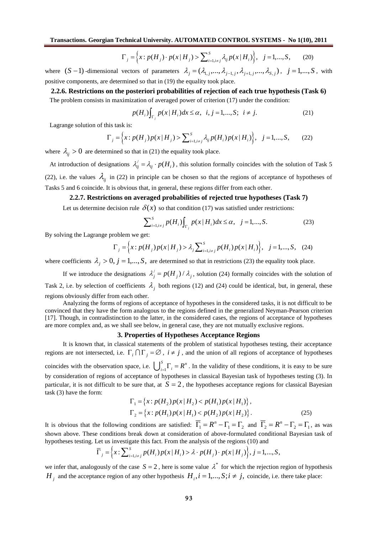$$
\Gamma_j = \left\{ x : p(H_j) \cdot p(x | H_j) > \sum_{i=1, i \neq j}^{S} \lambda_{ij} p(x | H_i) \right\}, \quad j = 1, ..., S, \quad (20)
$$

where  $(S-1)$ -dimensional vectors of parameters  $\lambda_j = (\lambda_{1,j},...,\lambda_{j-1,j}, \lambda_{j+1,j},..., \lambda_{S,j})$ ,  $j = 1,...,S$ , with positive components, are determined so that in (19) the equality took place.

**2.2.6. Restrictions on the posteriori probabilities of rejection of each true hypothesis (Task 6)** The problem consists in maximization of averaged power of criterion (17) under the condition:

$$
p(H_i) \int_{\Gamma_j} p(x | H_i) dx \le \alpha, \ \ i, j = 1, ..., S; \ \ i \ne j. \tag{21}
$$

Lagrange solution of this task is:

$$
\Gamma_j = \left\{ x : p(H_j) p(x | H_j) > \sum_{i=1, i \neq j}^{S} \lambda_{ij} p(H_i) p(x | H_i) \right\}, \quad j = 1, ..., S, \tag{22}
$$

where  $\lambda_{ij} > 0$  are determined so that in (21) the equality took place.

At introduction of designations  $\lambda'_{ij} = \lambda_{ij} \cdot p(H_i)$ , this solution formally coincides with the solution of Task 5 (22), i.e. the values  $\lambda_{ii}$  in (22) in principle can be chosen so that the regions of acceptance of hypotheses of Tasks 5 and 6 coincide. It is obvious that, in general, these regions differ from each other.

## **2.2.7. Restrictions on averaged probabilities of rejected true hypotheses (Task 7)**

Let us determine decision rule  $\delta(x)$  so that condition (17) was satisfied under restrictions:

$$
\sum_{i=1, i \neq j}^{S} p(H_i) \int_{\Gamma_j} p(x | H_i) dx \le \alpha, \quad j = 1, ..., S. \tag{23}
$$

By solving the Lagrange problem we get:

$$
\Gamma_j = \left\{ x : p(H_j) p(x | H_j) > \lambda_j \sum_{i=1, i \neq j}^{S} p(H_i) p(x | H_i) \right\}, \quad j = 1, ..., S, \quad (24)
$$

where coefficients  $\lambda_i > 0$ ,  $j = 1,..., S$ , are determined so that in restrictions (23) the equality took place.

If we introduce the designations  $\lambda'_j = p(H_j) / \lambda_j$ , solution (24) formally coincides with the solution of Task 2, i.e. by selection of coefficients  $\lambda_j$  both regions (12) and (24) could be identical, but, in general, these regions obviously differ from each other.

Analyzing the forms of regions of acceptance of hypotheses in the considered tasks, it is not difficult to be convinced that they have the form analogous to the regions defined in the generalized Neyman-Pearson criterion [17]. Though, in contradistinction to the latter, in the considered cases, the regions of acceptance of hypotheses are more complex and, as we shall see below, in general case, they are not mutually exclusive regions.

## **3. Properties of Hypotheses Acceptance Regions**

It is known that, in classical statements of the problem of statistical hypotheses testing, their acceptance regions are not intersected, i.e.  $\Gamma_i \cap \Gamma_j = \emptyset$ ,  $i \neq j$ , and the union of all regions of acceptance of hypotheses coincides with the observation space, i.e.  $\bigcup_{i=1}^{\infty}$  $\bigcup_{i=1}^{S} \Gamma_i = R^n$ . In the validity of these conditions, it is easy to be sure by consideration of regions of acceptance of hypotheses in classical Bayesian task of hypotheses testing (3). In particular, it is not difficult to be sure that, at  $S = 2$ , the hypotheses acceptance regions for classical Bayesian task (3) have the form:

$$
\Gamma_1 = \{x : p(H_2)p(x | H_2) < p(H_1)p(x | H_1)\},\
$$
\n
$$
\Gamma_2 = \{x : p(H_1)p(x | H_1) < p(H_2)p(x | H_2)\}.\tag{25}
$$

It is obvious that the following conditions are satisfied:  $\overline{\Gamma}_1 = R^n - \Gamma_1 = \Gamma_2$  and  $\overline{\Gamma}_2 = R^n - \Gamma_2 = \Gamma_1$ , as was shown above. These conditions break down at consideration of above-formulated conditional Bayesian task of hypotheses testing. Let us investigate this fact. From the analysis of the regions (10) and

$$
\overline{\Gamma}_j = \Big\{ x \colon \sum_{i=1, i \neq j}^S p(H_i) p(x | H_i) > \lambda \cdot p(H_j) \cdot p(x | H_j) \Big\}, j = 1, \dots, S,
$$

we infer that, analogously of the case  $S = 2$ , here is some value  $\lambda^*$  for which the rejection region of hypothesis *H*<sub>*j*</sub> and the acceptance region of any other hypothesis  $H_i$ ,  $i = 1,..., S; i \neq j$ , coincide, i.e. there take place: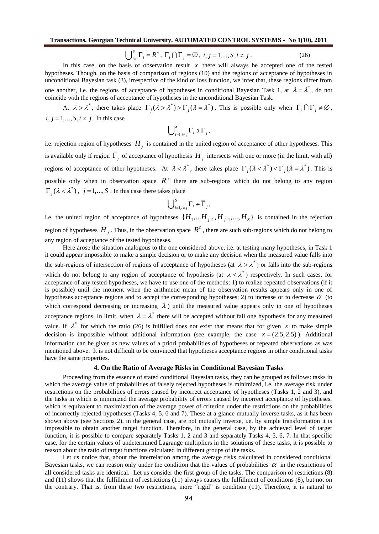$$
\bigcup_{i=1}^{S} \Gamma_i = R^n, \ \Gamma_i \cap \Gamma_j = \varnothing, \ i, j = 1, \dots, S, i \neq j \,. \tag{26}
$$

In this case, on the basis of observation result  $x$  there will always be accepted one of the tested hypotheses. Though, on the basis of comparison of regions (10) and the regions of acceptance of hypotheses in unconditional Bayesian task (3), irrespective of the kind of loss function, we infer that, these regions differ from one another, i.e. the regions of acceptance of hypotheses in conditional Bayesian Task 1, at  $\lambda = \lambda^*$ , do not coincide with the regions of acceptance of hypotheses in the unconditional Bayesian Task.

At  $\lambda > \lambda^*$ , there takes place  $\Gamma_j(\lambda > \lambda^*) > \Gamma_j(\lambda = \lambda^*)$ . This is possible only when  $\Gamma_i \cap \Gamma_j \neq \emptyset$ ,  $i, j = 1, \ldots, S, i \neq j$ . In this case

$$
\bigcup\nolimits_{i=1,i\neq j}^S \Gamma_i \ni \overline{\Gamma}_j,
$$

i.e. rejection region of hypotheses *H <sup>j</sup>* is contained in the united region of acceptance of other hypotheses. This is available only if region  $\Gamma_j$  of acceptance of hypothesis  $H_j$  intersects with one or more (in the limit, with all) regions of acceptance of other hypotheses. At  $\lambda < \lambda^*$ , there takes place  $\Gamma_j(\lambda < \lambda^*) < \Gamma_j(\lambda = \lambda^*)$ . This is possible only when in observation space  $R<sup>n</sup>$  there are sub-regions which do not belong to any region  $\Gamma_j(\lambda < \lambda^*)$ ,  $j = 1,..., S$ . In this case there takes place

$$
\bigcup\nolimits_{i=1,i\neq j}^S \Gamma_i \in \overline{\Gamma}_j \, ,
$$

i.e. the united region of acceptance of hypotheses  $\{H_1, \ldots H_{j-1}, H_{j+1}, \ldots, H_S\}$  is contained in the rejection region of hypotheses  $H_j$ . Thus, in the observation space  $R^n$ , there are such sub-regions which do not belong to any region of acceptance of the tested hypotheses.

Here arose the situation analogous to the one considered above, i.e. at testing many hypotheses, in Task 1 it could appear impossible to make a simple decision or to make any decision when the measured value falls into the sub-regions of intersection of regions of acceptance of hypotheses (at  $\lambda > \lambda^*$ ) or falls into the sub-regions which do not belong to any region of acceptance of hypothesis (at  $\lambda < \lambda^*$ ) respectively. In such cases, for acceptance of any tested hypotheses, we have to use one of the methods: 1) to realize repeated observations (if it is possible) until the moment when the arithmetic mean of the observation results appears only in one of hypotheses acceptance regions and to accept the corresponding hypotheses; 2) to increase or to decrease  $\alpha$  (to which correspond decreasing or increasing  $\lambda$ ) until the measured value appears only in one of hypotheses acceptance regions. In limit, when  $\lambda = \lambda^*$  there will be accepted without fail one hypothesis for any measured value. If  $\lambda^*$  for which the ratio (26) is fulfilled does not exist that means that for given x to make simple decision is impossible without additional information (see example, the case  $x = (2.5, 2.5)$ ). Additional information can be given as new values of a priori probabilities of hypotheses or repeated observations as was mentioned above. It is not difficult to be convinced that hypotheses acceptance regions in other conditional tasks have the same properties.

#### **4. On the Ratio of Average Risks in Conditional Bayesian Tasks**

Proceeding from the essence of stated conditional Bayesian tasks, they can be grouped as follows: tasks in which the average value of probabilities of falsely rejected hypotheses is minimized, i.e. the average risk under restrictions on the probabilities of errors caused by incorrect acceptance of hypotheses (Tasks 1, 2 and 3), and the tasks in which is minimized the average probability of errors caused by incorrect acceptance of hypotheses, which is equivalent to maximization of the average power of criterion under the restrictions on the probabilities of incorrectly rejected hypotheses (Tasks 4, 5, 6 and 7). These at a glance mutually inverse tasks, as it has been shown above (see Sections 2), in the general case, are not mutually inverse, i.e. by simple transformation it is impossible to obtain another target function. Therefore, in the general case, by the achieved level of target function, it is possible to compare separately Tasks 1, 2 and 3 and separately Tasks 4, 5, 6, 7. In that specific case, for the certain values of undetermined Lagrange multipliers in the solutions of these tasks, it is possible to reason about the ratio of target functions calculated in different groups of the tasks.

Let us notice that, about the interrelation among the average risks calculated in considered conditional Bayesian tasks, we can reason only under the condition that the values of probabilities  $\alpha$  in the restrictions of all considered tasks are identical. Let us consider the first group of the tasks. The comparison of restrictions (8) and (11) shows that the fulfillment of restrictions (11) always causes the fulfillment of conditions (8), but not on the contrary. That is, from these two restrictions, more "rigid" is condition (11). Therefore, it is natural to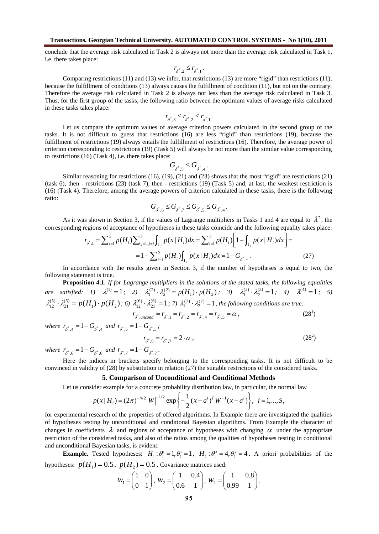conclude that the average risk calculated in Task 2 is always not more than the average risk calculated in Task 1, i.e. there takes place:

$$
r_{\delta^*,2}\leq r_{\delta^*,1}\,.
$$

Comparing restrictions  $(11)$  and  $(13)$  we infer, that restrictions  $(13)$  are more "rigid" than restrictions  $(11)$ , because the fulfillment of conditions (13) always causes the fulfillment of condition (11), but not on the contrary. Therefore the average risk calculated in Task 2 is always not less than the average risk calculated in Task 3. Thus, for the first group of the tasks, the following ratio between the optimum values of average risks calculated in these tasks takes place:

$$
r_{\delta^*,3} \le r_{\delta^*,2} \le r_{\delta^*,1}.
$$

Let us compare the optimum values of average criterion powers calculated in the second group of the tasks. It is not difficult to guess that restrictions (16) are less "rigid" than restrictions (19), because the fulfillment of restrictions (19) always entails the fulfillment of restrictions (16). Therefore, the average power of criterion corresponding to restrictions (19) (Task 5) will always be not more than the similar value corresponding to restrictions (16) (Task 4), i.e. there takes place:

$$
G_{\boldsymbol{\delta}^*, 5}\leq G_{\boldsymbol{\delta}^*, 4}\,.
$$

Similar reasoning for restrictions (16), (19), (21) and (23) shows that the most "rigid" are restrictions (21) (task 6), then - restrictions (23) (task 7), then - restrictions (19) (Task 5) and, at last, the weakest restriction is (16) (Task 4). Therefore, among the average powers of criterion calculated in these tasks, there is the following ratio:

$$
G_{\boldsymbol{\delta}^*, \boldsymbol{6}} \leq G_{\boldsymbol{\delta}^*, 7} \leq G_{\boldsymbol{\delta}^*, \boldsymbol{5}} \leq G_{\boldsymbol{\delta}^*, \boldsymbol{4}}.
$$

As it was shown in Section 3, if the values of Lagrange multipliers in Tasks 1 and 4 are equal to  $\lambda^*$ , the corresponding regions of acceptance of hypotheses in these tasks coincide and the following equality takes place:

$$
r_{\delta^*,1} = \sum_{i=1}^s p(H_i) \sum_{j=1, j \neq i}^s \int_{\Gamma_j} p(x | H_i) dx = \sum_{i=1}^s p(H_i) \left[ 1 - \int_{\Gamma_i} p(x | H_i) dx \right] =
$$
  
=  $1 - \sum_{i=1}^s p(H_i) \int_{\Gamma_i} p(x | H_i) dx = 1 - G_{\delta^*, 4}$ . (27)

In accordance with the results given in Section 3, if the number of hypotheses is equal to two, the following statement is true.

**Proposition 4.1.** *If for Lagrange multipliers in the solutions of the stated tasks, the following equalities are satisfied:* 1)  $\lambda^{(1)} = 1$ ; 2)  $\lambda_1^{(2)} \cdot \lambda_2^{(2)} = p(H_1) \cdot p(H_2)$ ; 3)  $\lambda_1^{(3)} \cdot \lambda_2^{(3)} = 1$ 2  $\lambda_1^{(3)} \cdot \lambda_2^{(3)} = 1; \quad 4) \quad \lambda^{(4)} = 1; \quad 5)$  $(H_1) \cdot p(H_2)$ (5) 21  $\lambda_{12}^{(5)} \cdot \lambda_{21}^{(5)} = p(H_1) \cdot p(H_2)$ ; 6)  $\lambda_{12}^{(6)} \cdot \lambda_{21}^{(6)} = 1$ 21  $\lambda_1^{(6)} \cdot \lambda_2^{(6)} = 1$ ; 7)  $\lambda_1^{(7)} \cdot \lambda_2^{(7)} = 1$ , the following conditions are true:  $r_{\delta^*.\text{uncond}} = r_{\delta^*.\text{1}} = r_{\delta^*.\text{2}} = r_{\delta^*.\text{4}} = r_{\delta^*.\text{5}} = \alpha$ ,  $(28<sup>1</sup>)$ 

where  $r_{\delta^*,4} = 1 - G_{\delta^*,4}$  and  $r_{\delta^*,5} = 1 - G_{\delta^*,5}$ ;

$$
r_{\delta^*,6} = r_{\delta^*,7} = 2 \cdot \alpha \,,\tag{28^2}
$$

where  $r_{\delta^*, 6} = 1 - G_{\delta^*, 6}$  and  $r_{\delta^*, 7} = 1 - G_{\delta^*, 7}$ .

Here the indices in brackets specify belonging to the corresponding tasks. It is not difficult to be convinced in validity of (28) by substitution in relation (27) the suitable restrictions of the considered tasks.

#### **5. Comparison of Unconditional and Conditional Methods**

Let us consider example for a concrete probability distribution law, in particular, the normal law

$$
p(x | H_i) = (2\pi)^{-n/2} |W|^{-1/2} \exp \left\{-\frac{1}{2}(x - a^i)^T W^{-1}(x - a^i)\right\}, \quad i = 1, ..., S,
$$

for experimental research of the properties of offered algorithms. In Example there are investigated the qualities of hypotheses testing by unconditional and conditional Bayesian algorithms. From Example the character of changes in coefficients  $\lambda$  and regions of acceptance of hypotheses with changing  $\alpha$  under the appropriate restriction of the considered tasks, and also of the ratios among the qualities of hypotheses testing in conditional and unconditional Bayesian tasks, is evident.

**Example.** Tested hypotheses:  $H_1: \theta_1^1 = 1, \theta_2^1 = 1, H_2: \theta_1^2 = 4, \theta_2^2 = 4$ . A priori probabilities of the hypotheses:  $p(H_1) = 0.5$ ,  $p(H_2) = 0.5$ . Covariance matrices used:

$$
W_1 = \begin{pmatrix} 1 & 0 \\ 0 & 1 \end{pmatrix}, W_2 = \begin{pmatrix} 1 & 0.4 \\ 0.6 & 1 \end{pmatrix}, W_2 = \begin{pmatrix} 1 & 0.8 \\ 0.99 & 1 \end{pmatrix}.
$$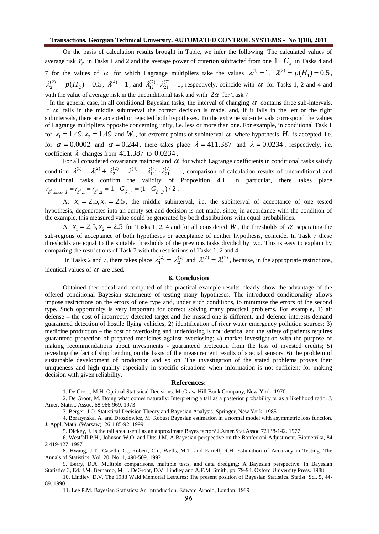On the basis of calculation results brought in Table, we infer the following. The calculated values of average risk  $r_{\delta}$  in Tasks 1 and 2 and the average power of criterion subtracted from one  $1-G_{\delta}$  in Tasks 4 and 7 for the values of  $\alpha$  for which Lagrange multipliers take the values  $\lambda^{(1)} = 1$ ,  $\lambda_1^{(2)} = p(H_1) = 0.5$ ,  $\lambda_2^{(2)} = p(H_2) = 0.5$ ,  $\lambda^{(4)} = 1$ , and  $\lambda_{12}^{(7)} \cdot \lambda_{21}^{(7)} = 1$ 21  $\lambda_1^{(7)} \cdot \lambda_2^{(7)} = 1$ , respectively, coincide with  $\alpha$  for Tasks 1, 2 and 4 and with the value of average risk in the unconditional task and with  $2\alpha$  for Task 7.

In the general case, in all conditional Bayesian tasks, the interval of changing  $\alpha$  contains three sub-intervals. If  $\alpha$  falls in the middle subinterval the correct decision is made, and, if it falls in the left or the right subintervals, there are accepted or rejected both hypotheses. To the extreme sub-intervals correspond the values of Lagrange multipliers opposite concerning unity, i.e. less or more than one. For example, in conditional Task 1 for  $x_1 = 1.49$ ,  $x_2 = 1.49$  and  $W_1$ , for extreme points of subinterval  $\alpha$  where hypothesis  $H_1$  is accepted, i.e. for  $\alpha = 0.0002$  and  $\alpha = 0.244$ , there takes place  $\lambda = 411.387$  and  $\lambda = 0.0234$ , respectively, i.e. coefficient  $\lambda$  changes from 411.387 to 0.0234.

For all considered covariance matrices and  $\alpha$  for which Lagrange coefficients in conditional tasks satisfy condition  $\lambda^{(1)} = \lambda_1^{(2)} + \lambda_2^{(2)} = \lambda^{(4)} = \lambda_{12}^{(7)} \cdot \lambda_{21}^{(7)} = 1$ 21  $\lambda_{12}^{(7)} \cdot \lambda_{21}^{(7)} = 1$ , comparison of calculation results of unconditional and conditional tasks confirm the validity of Proposition 4.1. In particular, there takes place  $r_{\delta^*, uncond} = r_{\delta^*, 1} = r_{\delta^*, 2} = 1 - G_{\delta^*, 4} = (1 - G_{\delta^*, 7}) / 2$ .

At  $x_1 = 2.5, x_2 = 2.5$ , the middle subinterval, i.e. the subinterval of acceptance of one tested hypothesis, degenerates into an empty set and decision is not made, since, in accordance with the condition of the example, this measured value could be generated by both distributions with equal probabilities.

At  $x_1 = 2.5$ ,  $x_2 = 2.5$  for Tasks 1, 2, 4 and for all considered *W*, the thresholds of  $\alpha$  separating the sub-regions of acceptance of both hypotheses or acceptance of neither hypothesis, coincide. In Task 7 these thresholds are equal to the suitable thresholds of the previous tasks divided by two. This is easy to explain by comparing the restrictions of Task 7 with the restrictions of Tasks 1, 2 and 4.

In Tasks 2 and 7, there takes place  $\lambda_1^{(2)} = \lambda_2^{(2)}$  and  $\lambda_1^{(7)} = \lambda_2^{(7)}$ , because, in the appropriate restrictions, identical values of  $\alpha$  are used.

## **6. Conclusion**

Obtained theoretical and computed of the practical example results clearly show the advantage of the offered conditional Bayesian statements of testing many hypotheses. The introduced conditionality allows impose restrictions on the errors of one type and, under such conditions, to minimize the errors of the second type. Such opportunity is very important for correct solving many practical problems. For example, 1) air defense – the cost of incorrectly detected target and the missed one is different, and defence interests demand guaranteed detection of hostile flying vehicles; 2) identification of river water emergency pollution sources; 3) medicine production – the cost of overdosing and underdosing is not identical and the safety of patients requires guaranteed protection of prepared medicines against overdosing; 4) market investigation with the purpose of making recommendations about investments - guaranteed protection from the loss of invested credits; 5) revealing the fact of ship bending on the basis of the measurement results of special sensors; 6) the problem of sustainable development of production and so on. The investigation of the stated problems proves their uniqueness and high quality especially in specific situations when information is not sufficient for making decision with given reliability.

#### **References:**

1. De Groot, M.H. Optimal Statistical Decisions. McGraw-Hill Book Company, New-York. 1970

2. De Groot, M. Doing what comes naturally: Interpreting a tail as a posterior probability or as a likelihood ratio. J. Amer. Statist. Assoc. 68 966-969. 1973

3. Berger, J.O. Statistical Decision Theory and Bayesian Analysis. Springer, New York. 1985

4. Boratynska, A. and Drozdowicz, M. Robust Bayesian estimation in a normal model with asymmetric loss function. J. Appl. Math. (Warsaw), 26 1 85-92. 1999

5. Dickey, J. Is the tail area useful as an approximate Bayes factor? J.Amer.Stat.Assoc.72138-142. 1977

6. Westfall P.H., Johnson W.O. and Utts J.M. A Bayesian perspective on the Bonferroni Adjustment. Biometrika, 84 2 419-427. 1997

8. Hwang, J.T., Casella, G., Robert, Ch., Wells, M.T. and Farrell, R.H. Estimation of Accuracy in Testing. The Annals of Statistics, Vol. 20, No. 1, 490-509. 1992

9. Berry, D.A. Multiple comparisons, multiple tests, and data dredging: A Bayesian perspective. In Bayesian Statistics 3, Ed. J.M. Bernardo, M.H. DeGroot, D.V. Lindley and A.F.M. Smith, pp. 79-94. Oxford University Press. 1988

10. Lindley, D.V. The 1988 Wald Memorial Lectures: The present position of Bayesian Statistics. Statist. Sci. 5, 44- 89. 1990

11. Lee P.M. Bayesian Statistics: An Introduction. Edward Arnold, London. 1989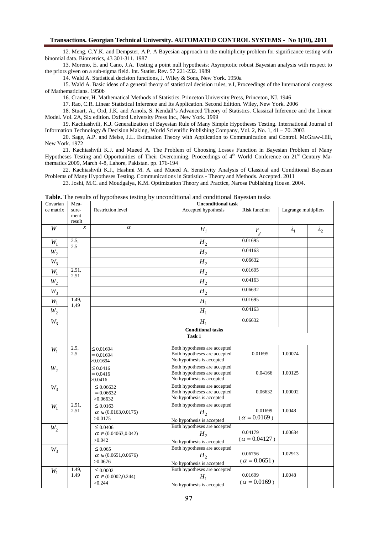12. Meng, C.Y.K. and Dempster, A.P. A Bayesian approach to the multiplicity problem for significance testing with binomial data. Biometrics, 43 301-311. 1987

13. Moreno, E. and Cano, J.A. Testing a point null hypothesis: Asymptotic robust Bayesian analysis with respect to the priors given on a sub-sigma field. Int. Statist. Rev. 57 221-232. 1989

14. Wald A. Statistical decision functions, J. Wiley & Sons, New York. 1950a

15. Wald A. Basic ideas of a general theory of statistical decision rules, v.I, Proceedings of the International congress of Mathematicians. 1950b

16. Cramer, H. Mathematical Methods of Statistics. Princeton University Press, Princeton, NJ. 1946

17. Rao, C.R. Linear Statistical Inference and Its Application. Second Edition. Wiley, New York. 2006

18. Stuart, A., Ord, J.K. and Arnols, S. Kendall's Advanced Theory of Statistics. Classical Inference and the Linear Model. Vol. 2A, Six edition. Oxford University Press Inc., New York. 1999

19. Kachiashvili, K.J. Generalization of Bayesian Rule of Many Simple Hypotheses Testing. International Journal of Information Technology & Decision Making, World Scientific Publishing Company, Vol. 2, No. 1, 41 – 70. 2003

20. Sage, A.P. and Melse, J.L. Estimation Theory with Application to Communication and Control. McGraw-Hill, New York. 1972

21. Kachiashvili K.J. and Mueed A. The Problem of Choosing Losses Function in Bayesian Problem of Many Hypotheses Testing and Opportunities of Their Overcoming. Proceedings of 4<sup>th</sup> World Conference on 21<sup>st</sup> Century Mathematics 2009, March 4-8, Lahore, Pakistan. pp. 176-194

22. Kachiashvili K.J., Hashmi M. A. and Mueed A. Sensitivity Analysis of Classical and Conditional Bayesian Problems of Many Hypotheses Testing. Communications in Statistics - Theory and Methods. Accepted. 2011

23. Joshi, M.C. and Moudgalya, K.M. Optimization Theory and Practice, Narosa Publishing House. 2004.

Covarian ce matrix Measurement result **Unconditional task** Restriction level **Accepted hypothesis** Risk function Lagrange multipliers  $W$   $x$   $\alpha$   $H_i$  $r_{\delta^*}$  $\lambda$  $\lambda_2$ *W*1 2.5, 2.5  $H<sub>2</sub>$ 0.01695  $W_2$  *H*<sub>2</sub> 0.04163  $W_3$  **H**<sub>2</sub> 0.06632 *W*<sup>1</sup> 2.51, 2.51  $H<sub>2</sub>$ 0.01695  $W_2$  *H*<sub>2</sub> 0.04163  $W_3$  **H**<sub>2</sub> 0.06632 *W*<sup>1</sup> 1.49, 1,49  $H<sub>1</sub>$ 0.01695  $W_2$  *H*<sub>1</sub> 0.04163  $W_3$  **H**<sub>1</sub> 0.06632 **Conditional tasks Task 1** *W*1  $2.5$ 2.5  $\leq 0.01694$  $= 0.01694$ >0.01694 Both hypotheses are accepted Both hypotheses are accepted No hypothesis is accepted 0.01695 1.00074 *W*<sub>2</sub>  $\leq 0.0416$  $= 0.0416$ >0.0416 Both hypotheses are accepted Both hypotheses are accepted No hypothesis is accepted 0.04166 1.00125 W<sub>2</sub>  $\leq 0.06632$  $= 0.06632$ >0.06632 Both hypotheses are accepted Both hypotheses are accepted No hypothesis is accepted 0.06632 1.00002 *W*1 2.51, 2.51  $\leq 0.0163$  $\alpha \in (0.0163, 0.0175)$ >0.0175 Both hypotheses are accepted  $H<sub>2</sub>$ No hypothesis is accepted 0.01699  $\alpha = 0.0169$ ) 1.0048 *W*<sub>2</sub>  $\leq 0.0406$  $\alpha \in (0.04063, 0.042)$ >0.042 Both hypotheses are accepted  $H<sub>2</sub>$ No hypothesis is accepted 0.04179  $\alpha = 0.04127$ ) 1.00634  $W_3$  $\leq 0.065$  $\alpha \in (0.0651, 0.0676)$ >0.0676 Both hypotheses are accepted  $H<sub>2</sub>$ No hypothesis is accepted 0.06756  $(\alpha = 0.0651)$ 1.02913 *W*1 1.49, 1.49  $\leq 0.0002$  $\alpha \in (0.0002, 0.244)$  $>0.244$ Both hypotheses are accepted  $H<sub>1</sub>$ No hypothesis is accepted 0.01699  $(\alpha = 0.0169)$ 1.0048

**Table.** The results of hypotheses testing by unconditional and conditional Bayesian tasks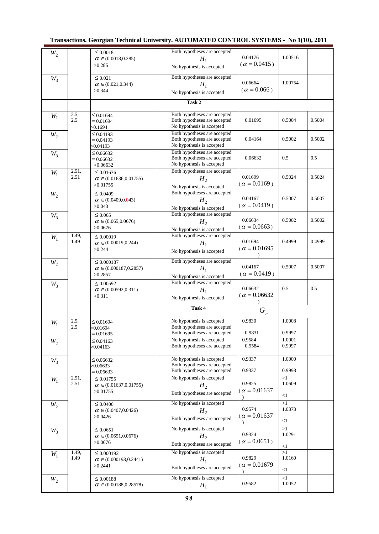| $W_2$ |               | $\leq 0.0018$<br>$\alpha \in (0.0018, 0.285)$      | Both hypotheses are accepted                                 | 0.04176                        | 1.00516      |        |
|-------|---------------|----------------------------------------------------|--------------------------------------------------------------|--------------------------------|--------------|--------|
|       |               | >0.285                                             | $H_1$<br>No hypothesis is accepted                           | $(\alpha = 0.0415)$            |              |        |
|       |               |                                                    | Both hypotheses are accepted                                 |                                |              |        |
| $W_3$ |               | $\leq 0.021$<br>$\alpha \in (0.021, 0.344)$        | $H_1$                                                        | 0.06664                        | 1.00754      |        |
|       |               | >0.344                                             | No hypothesis is accepted                                    | $(\alpha = 0.066)$             |              |        |
|       |               |                                                    | Task 2                                                       |                                |              |        |
|       |               |                                                    |                                                              |                                |              |        |
| $W_1$ | 2.5,<br>2.5   | $\leq 0.01694$<br>$= 0.01694$                      | Both hypotheses are accepted<br>Both hypotheses are accepted | 0.01695                        | 0.5004       | 0.5004 |
|       |               | >0.1694                                            | No hypothesis is accepted                                    |                                |              |        |
| $W_2$ |               | $\leq 0.04193$<br>$= 0.04193$                      | Both hypotheses are accepted<br>Both hypotheses are accepted | 0.04164                        | 0.5002       | 0.5002 |
|       |               | $-0.04193$                                         | No hypothesis is accepted                                    |                                |              |        |
| $W_3$ |               | $\leq 0.06632$                                     | Both hypotheses are accepted<br>Both hypotheses are accepted | 0.06632                        | 0.5          | 0.5    |
|       |               | $= 0.06632$<br>>0.06632                            | No hypothesis is accepted                                    |                                |              |        |
| $W_1$ | 2.51,         | $\leq 0.01636$                                     | Both hypotheses are accepted                                 |                                |              |        |
|       | 2.51          | $\alpha \in (0.01636, 0.01755)$<br>>0.01755        | H <sub>2</sub>                                               | 0.01699<br>$\alpha = 0.0169$ ) | 0.5024       | 0.5024 |
|       |               |                                                    | No hypothesis is accepted<br>Both hypotheses are accepted    |                                |              |        |
| $W_2$ |               | $\leq 0.0409$<br>$\alpha \in (0.0409, 0.043)$      | H <sub>2</sub>                                               | 0.04167                        | 0.5007       | 0.5007 |
|       |               | >0.043                                             | No hypothesis is accepted                                    | $\alpha = 0.0419$ )            |              |        |
| $W_3$ |               | $\leq 0.065$                                       | Both hypotheses are accepted                                 |                                |              |        |
|       |               | $\alpha \in (0.065, 0.0676)$                       | H <sub>2</sub>                                               | 0.06634<br>$\alpha = 0.0663$ ) | 0.5002       | 0.5002 |
|       | 1.49,         | >0.0676                                            | No hypothesis is accepted<br>Both hypotheses are accepted    |                                |              |        |
| $W_1$ | 1.49          | $\leq 0.00019$<br>$\alpha \in (0.00019, 0.244)$    | $H_1$                                                        | 0.01694                        | 0.4999       | 0.4999 |
|       |               | >0.244                                             | No hypothesis is accepted                                    | $\alpha = 0.01695$             |              |        |
|       |               |                                                    | Both hypotheses are accepted                                 |                                |              |        |
| $W_2$ |               | $\leq 0.000187$<br>$\alpha \in (0.000187, 0.2857)$ | $H_1$                                                        | 0.04167                        | 0.5007       | 0.5007 |
|       |               | >0.2857                                            | No hypothesis is accepted                                    | $(\alpha = 0.0419)$            |              |        |
| $W_3$ |               | $\leq 0.00592$                                     | Both hypotheses are accepted                                 |                                |              |        |
|       |               | $\alpha \in (0.00592, 0.311)$<br>>0.311            | $H_1$                                                        | 0.06632<br>$\alpha = 0.06632$  | 0.5          | 0.5    |
|       |               |                                                    | No hypothesis is accepted                                    |                                |              |        |
|       |               |                                                    | Task 4                                                       | $G_{_{\boldsymbol{\delta}^*}}$ |              |        |
| $W_1$ | 2.5,          | $\leq 0.01694$                                     | No hypothesis is accepted                                    | 0.9830                         | 1.0008       |        |
|       | 2.5           | $-0.01694$                                         | Both hypotheses are accepted<br>Both hypotheses are accepted | 0.9831                         | 0.9997       |        |
| $W_2$ |               | $= 0.01695$<br>$\leq 0.04163$                      | No hypothesis is accepted                                    | 0.9584                         | 1.0001       |        |
|       |               | >0.04163                                           | Both hypotheses are accepted                                 | 0.9584                         | 0.9997       |        |
|       |               |                                                    | No hypothesis is accepted                                    | 0.9337                         | 1.0000       |        |
| $W_3$ |               | $\leq 0.06632$<br>>0.06633                         | Both hypotheses are accepted                                 |                                |              |        |
|       |               | $= 0.06633$                                        | Both hypotheses are accepted                                 | 0.9337                         | 0.9998<br>>1 |        |
| $W_1$ | 2.51,<br>2.51 | $\leq 0.01755$<br>$\alpha \in (0.01637, 0.01755)$  | No hypothesis is accepted<br>H <sub>2</sub>                  | 0.9825                         | 1.0609       |        |
|       |               | >0.01755                                           | Both hypotheses are accepted                                 | $\alpha = 0.01637$             |              |        |
|       |               |                                                    | No hypothesis is accepted                                    |                                | $<$ 1<br>>1  |        |
| $W_2$ |               | $\leq 0.0406$<br>$\alpha \in (0.0407, 0.0426)$     | H <sub>2</sub>                                               | 0.9574                         | 1.0373       |        |
|       |               | >0.0426                                            | Both hypotheses are accepted                                 | $\alpha = 0.01637$             | $<$ 1        |        |
|       |               | $\leq 0.0651$                                      | No hypothesis is accepted                                    |                                | >1           |        |
| $W_3$ |               | $\alpha \in (0.0651, 0.0676)$                      | H <sub>2</sub>                                               | 0.9324                         | 1.0291       |        |
|       |               | >0.0676                                            | Both hypotheses are accepted                                 | $\alpha = 0.0651$ )            | $<$ l        |        |
|       |               |                                                    |                                                              |                                |              |        |
|       | 1.49,         | $\leq 0.000192$                                    | No hypothesis is accepted                                    |                                | >1           |        |
| $W_1$ | 1.49          | $\alpha \in (0.000193, 0.2441)$                    | $H_1$                                                        | 0.9829                         | 1.0160       |        |
|       |               | >0.2441                                            | Both hypotheses are accepted                                 | $\alpha = 0.01679$             | $<$ 1        |        |
| $W_2$ |               | $\leq 0.00188$<br>$\alpha \in (0.00188, 0.28578)$  | No hypothesis is accepted<br>$H_1$                           | 0.9582                         | >1<br>1.0052 |        |